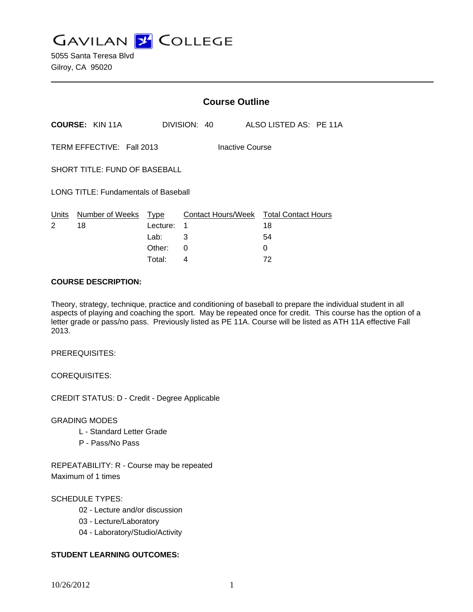**GAVILAN J COLLEGE** 

|                                              |                        | <b>Course Outline</b> |              |  |                    |                                  |  |
|----------------------------------------------|------------------------|-----------------------|--------------|--|--------------------|----------------------------------|--|
|                                              | <b>COURSE: KIN 11A</b> |                       | DIVISION: 40 |  |                    | ALSO LISTED AS: PE 11A           |  |
| TERM EFFECTIVE: Fall 2013<br>Inactive Course |                        |                       |              |  |                    |                                  |  |
| <b>SHORT TITLE: FUND OF BASEBALL</b>         |                        |                       |              |  |                    |                                  |  |
| <b>LONG TITLE: Fundamentals of Baseball</b>  |                        |                       |              |  |                    |                                  |  |
| Units<br>2                                   | Number of Weeks<br>18  | Type<br>Lecture:      | 1            |  | Contact Hours/Week | <b>Total Contact Hours</b><br>18 |  |
|                                              |                        | Lab:                  | 3            |  |                    | 54                               |  |
|                                              |                        | Other:                | 0            |  |                    | 0                                |  |

Total: 4 72

### **COURSE DESCRIPTION:**

Theory, strategy, technique, practice and conditioning of baseball to prepare the individual student in all aspects of playing and coaching the sport. May be repeated once for credit. This course has the option of a letter grade or pass/no pass. Previously listed as PE 11A. Course will be listed as ATH 11A effective Fall 2013.

PREREQUISITES:

COREQUISITES:

CREDIT STATUS: D - Credit - Degree Applicable

GRADING MODES

- L Standard Letter Grade
- P Pass/No Pass

REPEATABILITY: R - Course may be repeated Maximum of 1 times

## SCHEDULE TYPES:

- 02 Lecture and/or discussion
- 03 Lecture/Laboratory
- 04 Laboratory/Studio/Activity

## **STUDENT LEARNING OUTCOMES:**

10/26/2012 1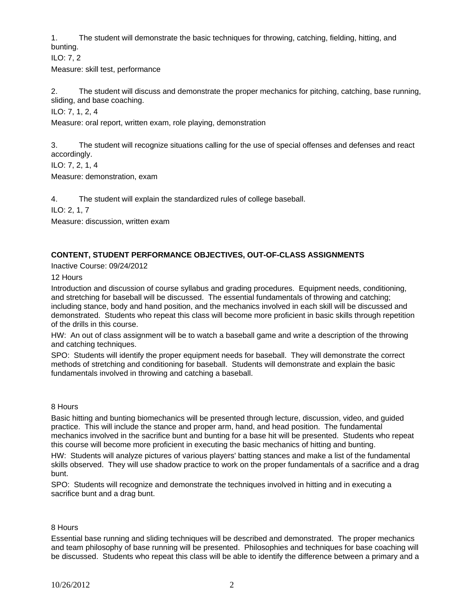1. The student will demonstrate the basic techniques for throwing, catching, fielding, hitting, and bunting.

ILO: 7, 2

Measure: skill test, performance

2. The student will discuss and demonstrate the proper mechanics for pitching, catching, base running, sliding, and base coaching.

ILO: 7, 1, 2, 4

Measure: oral report, written exam, role playing, demonstration

3. The student will recognize situations calling for the use of special offenses and defenses and react accordingly.

ILO: 7, 2, 1, 4

Measure: demonstration, exam

4. The student will explain the standardized rules of college baseball.

ILO: 2, 1, 7

Measure: discussion, written exam

# **CONTENT, STUDENT PERFORMANCE OBJECTIVES, OUT-OF-CLASS ASSIGNMENTS**

Inactive Course: 09/24/2012

12 Hours

Introduction and discussion of course syllabus and grading procedures. Equipment needs, conditioning, and stretching for baseball will be discussed. The essential fundamentals of throwing and catching; including stance, body and hand position, and the mechanics involved in each skill will be discussed and demonstrated. Students who repeat this class will become more proficient in basic skills through repetition of the drills in this course.

HW: An out of class assignment will be to watch a baseball game and write a description of the throwing and catching techniques.

SPO: Students will identify the proper equipment needs for baseball. They will demonstrate the correct methods of stretching and conditioning for baseball. Students will demonstrate and explain the basic fundamentals involved in throwing and catching a baseball.

## 8 Hours

Basic hitting and bunting biomechanics will be presented through lecture, discussion, video, and guided practice. This will include the stance and proper arm, hand, and head position. The fundamental mechanics involved in the sacrifice bunt and bunting for a base hit will be presented. Students who repeat this course will become more proficient in executing the basic mechanics of hitting and bunting.

HW: Students will analyze pictures of various players' batting stances and make a list of the fundamental skills observed. They will use shadow practice to work on the proper fundamentals of a sacrifice and a drag bunt.

SPO: Students will recognize and demonstrate the techniques involved in hitting and in executing a sacrifice bunt and a drag bunt.

## 8 Hours

Essential base running and sliding techniques will be described and demonstrated. The proper mechanics and team philosophy of base running will be presented. Philosophies and techniques for base coaching will be discussed. Students who repeat this class will be able to identify the difference between a primary and a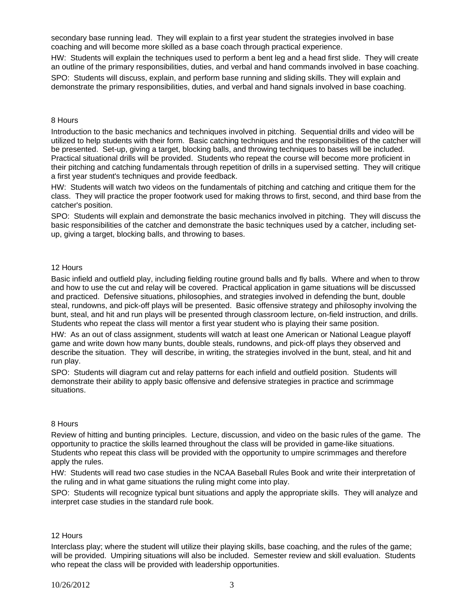secondary base running lead. They will explain to a first year student the strategies involved in base coaching and will become more skilled as a base coach through practical experience.

HW: Students will explain the techniques used to perform a bent leg and a head first slide. They will create an outline of the primary responsibilities, duties, and verbal and hand commands involved in base coaching.

SPO: Students will discuss, explain, and perform base running and sliding skills. They will explain and demonstrate the primary responsibilities, duties, and verbal and hand signals involved in base coaching.

#### 8 Hours

Introduction to the basic mechanics and techniques involved in pitching. Sequential drills and video will be utilized to help students with their form. Basic catching techniques and the responsibilities of the catcher will be presented. Set-up, giving a target, blocking balls, and throwing techniques to bases will be included. Practical situational drills will be provided. Students who repeat the course will become more proficient in their pitching and catching fundamentals through repetition of drills in a supervised setting. They will critique a first year student's techniques and provide feedback.

HW: Students will watch two videos on the fundamentals of pitching and catching and critique them for the class. They will practice the proper footwork used for making throws to first, second, and third base from the catcher's position.

SPO: Students will explain and demonstrate the basic mechanics involved in pitching. They will discuss the basic responsibilities of the catcher and demonstrate the basic techniques used by a catcher, including setup, giving a target, blocking balls, and throwing to bases.

### 12 Hours

Basic infield and outfield play, including fielding routine ground balls and fly balls. Where and when to throw and how to use the cut and relay will be covered. Practical application in game situations will be discussed and practiced. Defensive situations, philosophies, and strategies involved in defending the bunt, double steal, rundowns, and pick-off plays will be presented. Basic offensive strategy and philosophy involving the bunt, steal, and hit and run plays will be presented through classroom lecture, on-field instruction, and drills. Students who repeat the class will mentor a first year student who is playing their same position.

HW: As an out of class assignment, students will watch at least one American or National League playoff game and write down how many bunts, double steals, rundowns, and pick-off plays they observed and describe the situation. They will describe, in writing, the strategies involved in the bunt, steal, and hit and run play.

SPO: Students will diagram cut and relay patterns for each infield and outfield position. Students will demonstrate their ability to apply basic offensive and defensive strategies in practice and scrimmage situations.

#### 8 Hours

Review of hitting and bunting principles. Lecture, discussion, and video on the basic rules of the game. The opportunity to practice the skills learned throughout the class will be provided in game-like situations. Students who repeat this class will be provided with the opportunity to umpire scrimmages and therefore apply the rules.

HW: Students will read two case studies in the NCAA Baseball Rules Book and write their interpretation of the ruling and in what game situations the ruling might come into play.

SPO: Students will recognize typical bunt situations and apply the appropriate skills. They will analyze and interpret case studies in the standard rule book.

#### 12 Hours

Interclass play; where the student will utilize their playing skills, base coaching, and the rules of the game; will be provided. Umpiring situations will also be included. Semester review and skill evaluation. Students who repeat the class will be provided with leadership opportunities.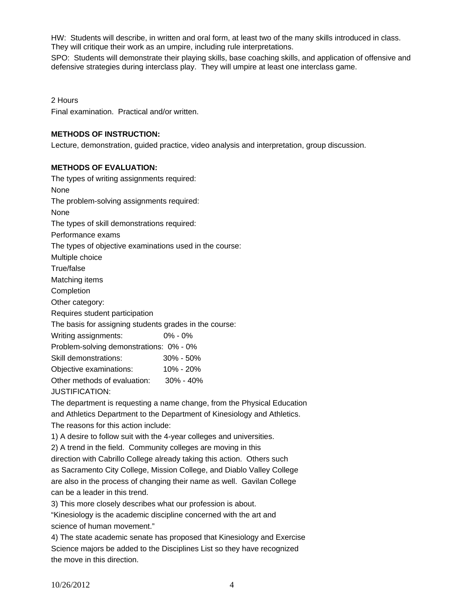HW: Students will describe, in written and oral form, at least two of the many skills introduced in class. They will critique their work as an umpire, including rule interpretations.

SPO: Students will demonstrate their playing skills, base coaching skills, and application of offensive and defensive strategies during interclass play. They will umpire at least one interclass game.

2 Hours

Final examination. Practical and/or written.

### **METHODS OF INSTRUCTION:**

Lecture, demonstration, guided practice, video analysis and interpretation, group discussion.

### **METHODS OF EVALUATION:**

The types of writing assignments required: None The problem-solving assignments required: None The types of skill demonstrations required: Performance exams The types of objective examinations used in the course: Multiple choice True/false Matching items **Completion** Other category: Requires student participation The basis for assigning students grades in the course: Writing assignments: 0% - 0% Problem-solving demonstrations: 0% - 0% Skill demonstrations: 30% - 50% Objective examinations: 10% - 20% Other methods of evaluation: 30% - 40% JUSTIFICATION:

The department is requesting a name change, from the Physical Education and Athletics Department to the Department of Kinesiology and Athletics. The reasons for this action include:

1) A desire to follow suit with the 4-year colleges and universities.

2) A trend in the field. Community colleges are moving in this

direction with Cabrillo College already taking this action. Others such as Sacramento City College, Mission College, and Diablo Valley College are also in the process of changing their name as well. Gavilan College can be a leader in this trend.

3) This more closely describes what our profession is about.

"Kinesiology is the academic discipline concerned with the art and science of human movement."

4) The state academic senate has proposed that Kinesiology and Exercise Science majors be added to the Disciplines List so they have recognized the move in this direction.